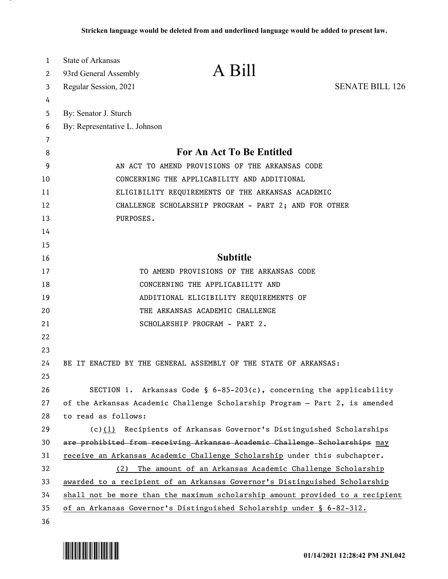| 1  | <b>State of Arkansas</b>                                                      |                                                                             |                        |
|----|-------------------------------------------------------------------------------|-----------------------------------------------------------------------------|------------------------|
| 2  | 93rd General Assembly                                                         | A Bill                                                                      |                        |
| 3  | Regular Session, 2021                                                         |                                                                             | <b>SENATE BILL 126</b> |
| 4  |                                                                               |                                                                             |                        |
| 5  | By: Senator J. Sturch                                                         |                                                                             |                        |
| 6  | By: Representative L. Johnson                                                 |                                                                             |                        |
| 7  |                                                                               |                                                                             |                        |
| 8  | For An Act To Be Entitled                                                     |                                                                             |                        |
| 9  | AN ACT TO AMEND PROVISIONS OF THE ARKANSAS CODE                               |                                                                             |                        |
| 10 | CONCERNING THE APPLICABILITY AND ADDITIONAL                                   |                                                                             |                        |
| 11 | ELIGIBILITY REQUIREMENTS OF THE ARKANSAS ACADEMIC                             |                                                                             |                        |
| 12 | CHALLENGE SCHOLARSHIP PROGRAM - PART 2; AND FOR OTHER                         |                                                                             |                        |
| 13 | PURPOSES.                                                                     |                                                                             |                        |
| 14 |                                                                               |                                                                             |                        |
| 15 |                                                                               |                                                                             |                        |
| 16 |                                                                               | <b>Subtitle</b>                                                             |                        |
| 17 |                                                                               | TO AMEND PROVISIONS OF THE ARKANSAS CODE                                    |                        |
| 18 |                                                                               | CONCERNING THE APPLICABILITY AND                                            |                        |
| 19 |                                                                               | ADDITIONAL ELIGIBILITY REQUIREMENTS OF                                      |                        |
| 20 |                                                                               | THE ARKANSAS ACADEMIC CHALLENGE                                             |                        |
| 21 |                                                                               | SCHOLARSHIP PROGRAM - PART 2.                                               |                        |
| 22 |                                                                               |                                                                             |                        |
| 23 |                                                                               |                                                                             |                        |
| 24 |                                                                               | BE IT ENACTED BY THE GENERAL ASSEMBLY OF THE STATE OF ARKANSAS:             |                        |
| 25 |                                                                               |                                                                             |                        |
| 26 |                                                                               | SECTION 1. Arkansas Code § $6-85-203(c)$ , concerning the applicability     |                        |
| 27 |                                                                               | of the Arkansas Academic Challenge Scholarship Program - Part 2, is amended |                        |
| 28 | to read as follows:                                                           |                                                                             |                        |
| 29 | (c)(1)                                                                        | Recipients of Arkansas Governor's Distinguished Scholarships                |                        |
| 30 |                                                                               | are prohibited from receiving Arkansas Academic Challenge Scholarships may  |                        |
| 31 | receive an Arkansas Academic Challenge Scholarship under this subchapter.     |                                                                             |                        |
| 32 | (2) The amount of an Arkansas Academic Challenge Scholarship                  |                                                                             |                        |
| 33 | awarded to a recipient of an Arkansas Governor's Distinguished Scholarship    |                                                                             |                        |
| 34 | shall not be more than the maximum scholarship amount provided to a recipient |                                                                             |                        |
| 35 |                                                                               | of an Arkansas Governor's Distinguished Scholarship under § 6-82-312.       |                        |
| 36 |                                                                               |                                                                             |                        |

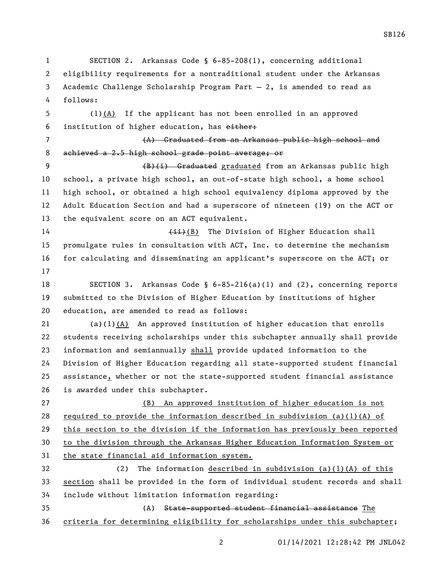01/14/2021 12:28:42 PM JNL042 eligibility requirements for a nontraditional student under the Arkansas Academic Challenge Scholarship Program Part — 2, is amended to read as follows: (1)(A) If the applicant has not been enrolled in an approved institution of higher education, has either: (A) Graduated from an Arkansas public high school and achieved a 2.5 high school grade point average; or 9 (B)(i) Graduated graduated from an Arkansas public high school, a private high school, an out-of-state high school, a home school high school, or obtained a high school equivalency diploma approved by the Adult Education Section and had a superscore of nineteen (19) on the ACT or the equivalent score on an ACT equivalent. 14 (ii)(B) The Division of Higher Education shall promulgate rules in consultation with ACT, Inc. to determine the mechanism for calculating and disseminating an applicant's superscore on the ACT; or SECTION 3. Arkansas Code § 6-85-216(a)(1) and (2), concerning reports submitted to the Division of Higher Education by institutions of higher education, are amended to read as follows: (a)(1)(A) An approved institution of higher education that enrolls students receiving scholarships under this subchapter annually shall provide information and semiannually shall provide updated information to the Division of Higher Education regarding all state-supported student financial assistance, whether or not the state-supported student financial assistance is awarded under this subchapter. (B) An approved institution of higher education is not 28 required to provide the information described in subdivision (a)(1)(A) of this section to the division if the information has previously been reported to the division through the Arkansas Higher Education Information System or the state financial aid information system. (2) The information described in subdivision (a)(1)(A) of this section shall be provided in the form of individual student records and shall include without limitation information regarding: (A) State-supported student financial assistance The criteria for determining eligibility for scholarships under this subchapter;

SECTION 2. Arkansas Code § 6-85-208(1), concerning additional

SB126